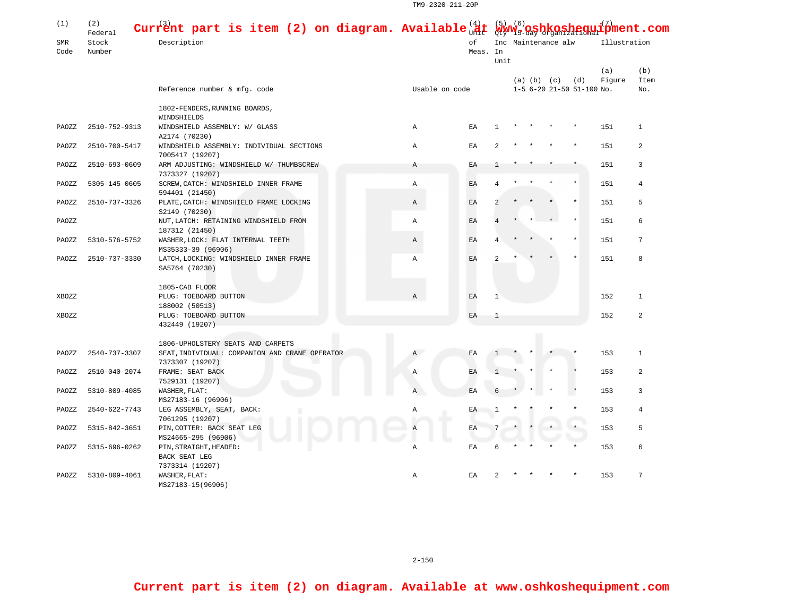TM9-2320-211-20P

| (1)         | (2)<br>Federal  | Current part is item (2) on diagram. Available $\frac{41}{900}$ t $\frac{5}{900}$ v $\frac{6}{900}$ gshkoshegui $\frac{7}{2}$ ment.com<br>Description<br>Reference number & mfg. code | оf<br>Meas. In |    |                |                     |  |                         |                           |               |                    |
|-------------|-----------------|---------------------------------------------------------------------------------------------------------------------------------------------------------------------------------------|----------------|----|----------------|---------------------|--|-------------------------|---------------------------|---------------|--------------------|
| SMR<br>Code | Stock<br>Number |                                                                                                                                                                                       |                |    | Unit           | Inc Maintenance alw |  |                         |                           | Illustration  |                    |
|             |                 |                                                                                                                                                                                       | Usable on code |    |                |                     |  | $(a)$ $(b)$ $(c)$ $(d)$ | 1-5 6-20 21-50 51-100 No. | (a)<br>Figure | (b)<br>Item<br>No. |
|             |                 | 1802-FENDERS, RUNNING BOARDS,                                                                                                                                                         |                |    |                |                     |  |                         |                           |               |                    |
| PAOZZ       | 2510-752-9313   | WINDSHIELDS<br>WINDSHIELD ASSEMBLY: W/ GLASS<br>A2174 (70230)                                                                                                                         | Α              | ΕA | -1             |                     |  |                         |                           | 151           | 1                  |
| PAOZZ       | 2510-700-5417   | WINDSHIELD ASSEMBLY: INDIVIDUAL SECTIONS<br>7005417 (19207)                                                                                                                           | $\mathbb{A}$   | EA |                |                     |  |                         |                           | 151           | 2                  |
| PAOZZ       | 2510-693-0609   | ARM ADJUSTING: WINDSHIELD W/ THUMBSCREW<br>7373327 (19207)                                                                                                                            | Α              | ΕA |                |                     |  |                         |                           | 151           | 3                  |
| PAOZZ       | 5305-145-0605   | SCREW, CATCH: WINDSHIELD INNER FRAME<br>594401 (21450)                                                                                                                                | Α              | EA | 4              |                     |  |                         |                           | 151           | $\overline{4}$     |
| PAOZZ       | 2510-737-3326   | PLATE, CATCH: WINDSHIELD FRAME LOCKING<br>S2149 (70230)                                                                                                                               | Α              | EA | 2              |                     |  |                         |                           | 151           | 5                  |
| PAOZZ       |                 | NUT, LATCH: RETAINING WINDSHIELD FROM<br>187312 (21450)                                                                                                                               | Α              | EA |                |                     |  |                         |                           | 151           | 6                  |
| PAOZZ       | 5310-576-5752   | WASHER, LOCK: FLAT INTERNAL TEETH<br>MS35333-39 (96906)                                                                                                                               | Α              | EA |                |                     |  |                         |                           | 151           | 7                  |
| PAOZZ       | 2510-737-3330   | LATCH, LOCKING: WINDSHIELD INNER FRAME<br>SA5764 (70230)                                                                                                                              | $\mathbb{A}$   | EA | $\mathfrak{D}$ |                     |  |                         |                           | 151           | 8                  |
|             |                 | 1805-CAB FLOOR                                                                                                                                                                        |                |    |                |                     |  |                         |                           |               |                    |
| XBOZZ       |                 | PLUG: TOEBOARD BUTTON<br>188002 (50513)                                                                                                                                               | $\mathbb{A}$   | EA | $\mathbf{1}$   |                     |  |                         |                           | 152           | $\mathbf{1}$       |
| XBOZZ       |                 | PLUG: TOEBOARD BUTTON<br>432449 (19207)                                                                                                                                               |                | EA | 1              |                     |  |                         |                           | 152           | $\mathfrak{D}$     |
|             |                 | 1806-UPHOLSTERY SEATS AND CARPETS                                                                                                                                                     |                |    |                |                     |  |                         |                           |               |                    |
| PAOZZ       | 2540-737-3307   | SEAT, INDIVIDUAL: COMPANION AND CRANE OPERATOR<br>7373307 (19207)                                                                                                                     | Α              | ΕA |                |                     |  |                         |                           | 153           | $\mathbf{1}$       |
| PAOZZ       | 2510-040-2074   | FRAME: SEAT BACK<br>7529131 (19207)                                                                                                                                                   | Α              | EA |                |                     |  |                         |                           | 153           | $\overline{a}$     |
| PAOZZ       | 5310-809-4085   | WASHER, FLAT:<br>MS27183-16 (96906)                                                                                                                                                   | Α              | EA |                |                     |  |                         |                           | 153           | 3                  |
| PAOZZ       | 2540-622-7743   | LEG ASSEMBLY, SEAT, BACK:<br>7061295 (19207)                                                                                                                                          | Α              | ΕA | 1              |                     |  |                         |                           | 153           | $\overline{4}$     |
| PAOZZ       | 5315-842-3651   | PIN, COTTER: BACK SEAT LEG<br>MS24665-295 (96906)                                                                                                                                     |                | EA |                |                     |  |                         |                           | 153           | 5                  |
| PAOZZ       | 5315-696-0262   | PIN, STRAIGHT, HEADED:<br>BACK SEAT LEG<br>7373314 (19207)                                                                                                                            | Α              | ΕA | 6              |                     |  |                         |                           | 153           | 6                  |
| PAOZZ       | 5310-809-4061   | WASHER, FLAT:<br>MS27183-15(96906)                                                                                                                                                    | Α              | EA |                |                     |  |                         |                           | 153           | 7                  |

2-150